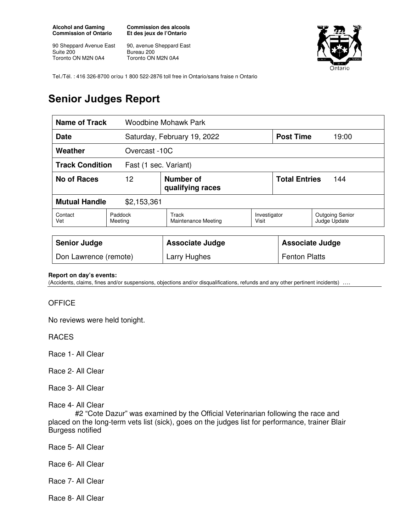**Alcohol and Gaming Commission of Ontario** 

90 Sheppard Avenue East Suite 200 Toronto ON M2N 0A4

**Commission des alcools Et des jeux de l'Ontario** 

90, avenue Sheppard East Bureau 200 Toronto ON M2N 0A4



Tel./Tél. : 416 326-8700 or/ou 1 800 522-2876 toll free in Ontario/sans fraise n Ontario

## **Senior Judges Report**

| Name of Track<br>Woodbine Mohawk Park           |                    |                                     |                       |                             |                                        |
|-------------------------------------------------|--------------------|-------------------------------------|-----------------------|-----------------------------|----------------------------------------|
| Date                                            |                    | Saturday, February 19, 2022         |                       | <b>Post Time</b>            | 19:00                                  |
| Weather                                         |                    | Overcast -10C                       |                       |                             |                                        |
| <b>Track Condition</b><br>Fast (1 sec. Variant) |                    |                                     |                       |                             |                                        |
| No of Races                                     | 12                 | Number of<br>qualifying races       |                       | <b>Total Entries</b><br>144 |                                        |
| <b>Mutual Handle</b><br>\$2,153,361             |                    |                                     |                       |                             |                                        |
| Contact<br>Vet                                  | Paddock<br>Meeting | Track<br><b>Maintenance Meeting</b> | Investigator<br>Visit |                             | <b>Outgoing Senior</b><br>Judge Update |
|                                                 |                    |                                     |                       |                             |                                        |
| <b>Senior Judge</b>                             |                    | <b>Associate Judge</b>              |                       | <b>Associate Judge</b>      |                                        |
| Don Lawrence (remote)                           |                    | Larry Hughes                        |                       | <b>Fenton Platts</b>        |                                        |

## **Report on day's events:**

(Accidents, claims, fines and/or suspensions, objections and/or disqualifications, refunds and any other pertinent incidents) ….

## **OFFICE**

No reviews were held tonight.

RACES

Race 1- All Clear

Race 2- All Clear

Race 3- All Clear

Race 4- All Clear

 #2 "Cote Dazur" was examined by the Official Veterinarian following the race and placed on the long-term vets list (sick), goes on the judges list for performance, trainer Blair Burgess notified

Race 5- All Clear

Race 6- All Clear

Race 7- All Clear

Race 8- All Clear